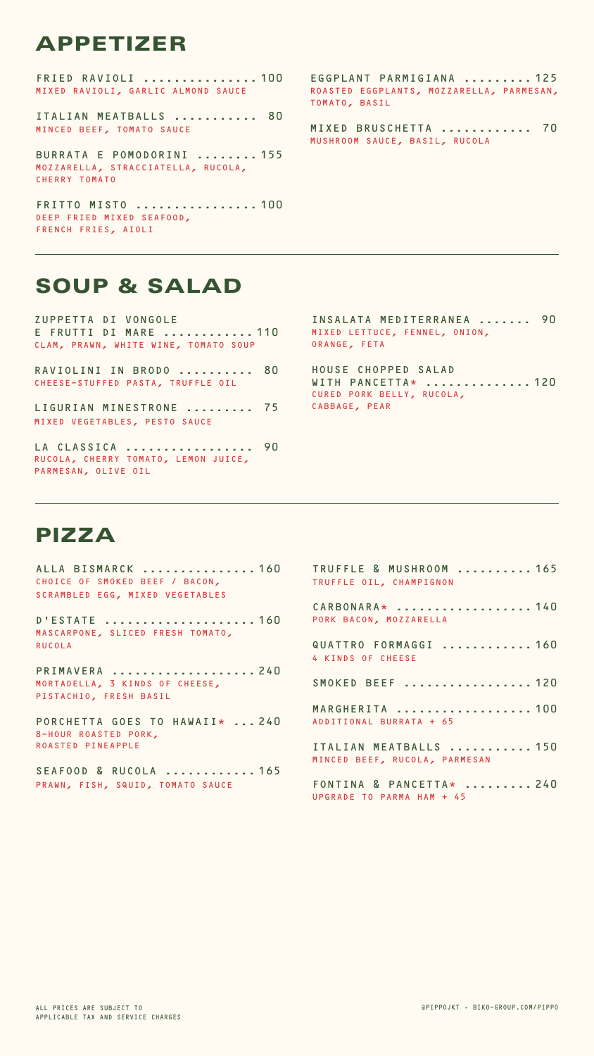#### @PIPPOJKT • BIKO-GROUP.COM/PIPPO

FRIED RAVIOLI ............... 100 MIXED RAVIOLI, GARLIC ALMOND SAUCE

ITALIAN MEATBALLS ........... 80 MINCED BEEF, TOMATO SAUCE

BURRATA E POMODORINI ........ 155 MOZZARELLA, STRACCIATELLA, RUCOLA, CHERRY TOMATO

FRITTO MISTO ................ 100 DEEP FRIED MIXED SEAFOOD, FRENCH FRIES, AIOLI

LIGURIAN MINESTRONE ......... 75 MIXED VEGETABLES, PESTO SAUCE

### APPETIZER

EGGPLANT PARMIGIANA ......... 125 ROASTED EGGPLANTS, MOZZARELLA, PARMESAN, TOMATO, BASIL

MIXED BRUSCHETTA ............ 70 MUSHROOM SAUCE, BASIL, RUCOLA

ZUPPETTA DI VONGOLE E FRUTTI DI MARE ............ 110 CLAM, PRAWN, WHITE WINE, TOMATO SOUP

RAVIOLINI IN BRODO .......... 80 CHEESE-STUFFED PASTA, TRUFFLE OIL

PORCHETTA GOES TO HAWAII\* ... 240 8-HOUR ROASTED PORK, ROASTED PINEAPPLE

LA CLASSICA ................. 90 RUCOLA, CHERRY TOMATO, LEMON JUICE, PARMESAN, OLIVE OIL

### SOUP & SALAD

INSALATA MEDITERRANEA ....... 90 MIXED LETTUCE, FENNEL, ONION, ORANGE, FETA

HOUSE CHOPPED SALAD WITH PANCETTA\* .............. 120 CURED PORK BELLY, RUCOLA, CABBAGE, PEAR

ALLA BISMARCK ............... 160 CHOICE OF SMOKED BEEF / BACON, SCRAMBLED EGG, MIXED VEGETABLES

D'ESTATE .................... 160 MASCARPONE, SLICED FRESH TOMATO, RUCOLA

PRIMAVERA ................... 240 MORTADELLA, 3 KINDS OF CHEESE, PISTACHIO, FRESH BASIL

SEAFOOD & RUCOLA ............ 165 PRAWN, FISH, SQUID, TOMATO SAUCE

### PIZZA

| TRUFFLE & MUSHROOM  165<br>TRUFFLE OIL, CHAMPIGNON      |
|---------------------------------------------------------|
| CARBONARA*  140<br>PORK BACON, MOZZARELLA               |
| QUATTRO FORMAGGI  160<br>4 KINDS OF CHEESE              |
| SMOKED BEEF  120                                        |
| MARGHERITA  100<br>ADDITIONAL BURRATA + 65              |
| ITALIAN MEATBALLS  150<br>MINCED BEEF, RUCOLA, PARMESAN |
| FONTINA & PANCETTA*  240<br>UPGRADE TO PARMA HAM + 45   |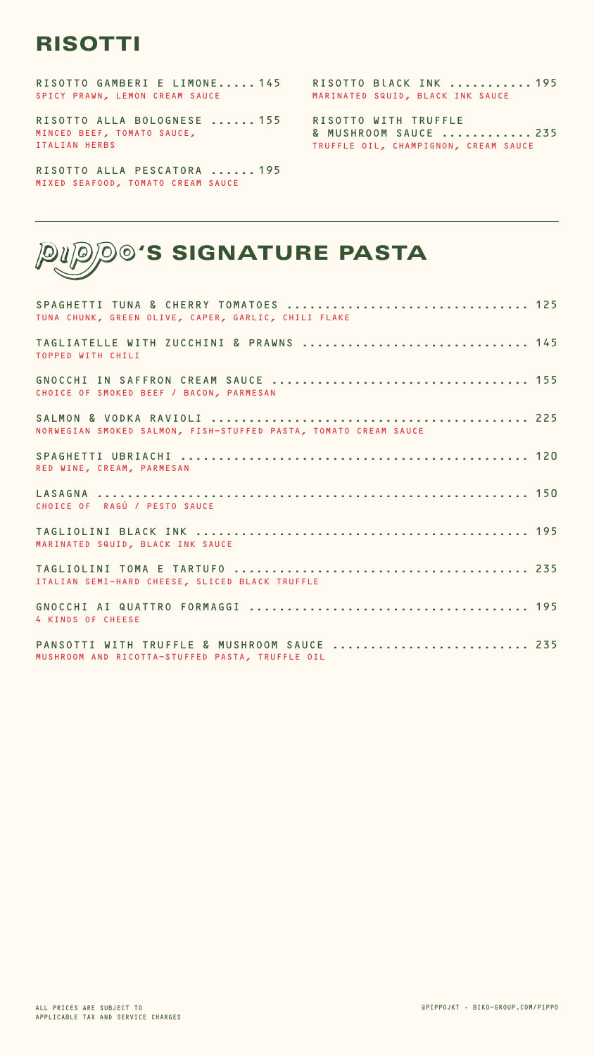#### @PIPPOJKT • BIKO-GROUP.COM/PIPPO

| SPAGHETTI TUNA & CHERRY TOMATOES  125<br>TUNA CHUNK, GREEN OLIVE, CAPER, GARLIC, CHILI FLAKE |  |
|----------------------------------------------------------------------------------------------|--|
| TAGLIATELLE WITH ZUCCHINI & PRAWNS  145<br>TOPPED WITH CHILI                                 |  |
| CHOICE OF SMOKED BEEF / BACON, PARMESAN                                                      |  |
| NORWEGIAN SMOKED SALMON, FISH-STUFFED PASTA, TOMATO CREAM SAUCE                              |  |
| RED WINE, CREAM, PARMESAN                                                                    |  |

| CHOICE OF RAGÚ / PESTO SAUCE                                                                   |  |
|------------------------------------------------------------------------------------------------|--|
| MARINATED SQUID, BLACK INK SAUCE                                                               |  |
| ITALIAN SEMI-HARD CHEESE, SLICED BLACK TRUFFLE                                                 |  |
| 4 KINDS OF CHEESE                                                                              |  |
| PANSOTTI WITH TRUFFLE & MUSHROOM SAUCE  235<br>MUSHROOM AND RICOTTA-STUFFED PASTA, TRUFFLE OIL |  |

# 'S SIGNATURE PASTA

RISOTTO GAMBERI E LIMONE..... 145 SPICY PRAWN, LEMON CREAM SAUCE

RISOTTO ALLA BOLOGNESE ...... 155 MINCED BEEF, TOMATO SAUCE, ITALIAN HERBS

RISOTTO ALLA PESCATORA ...... 195 MIXED SEAFOOD, TOMATO CREAM SAUCE

### RISOTTI

RISOTTO BlACK INK ........... 195 MARINATED SQUID, BLACK INK SAUCE

RISOTTO WITH TRUFFLE & MUSHROOM SAUCE ............ 235 TRUFFLE OIL, CHAMPIGNON, CREAM SAUCE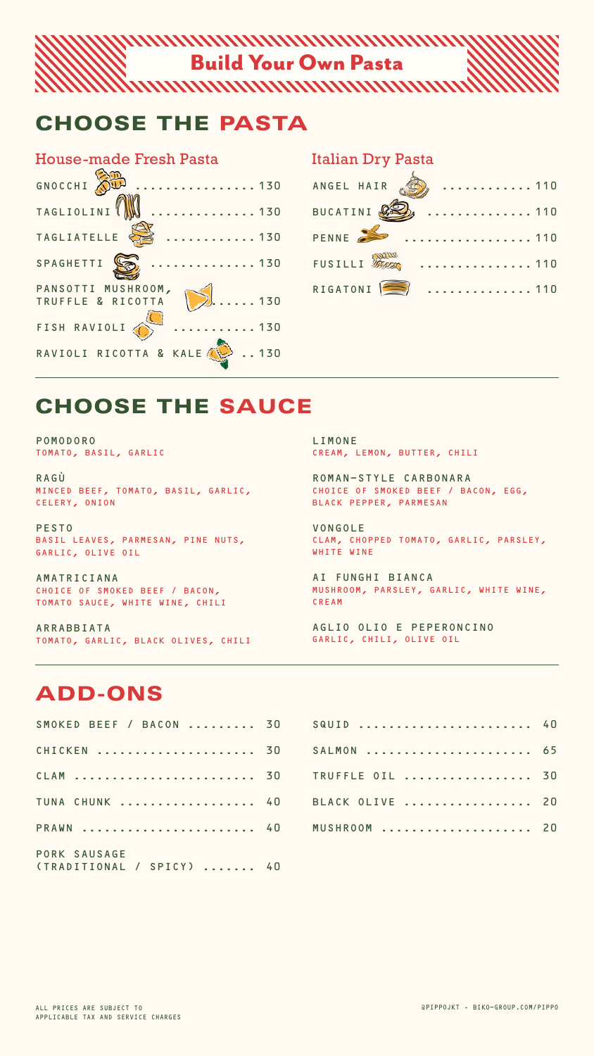#### @PIPPOJKT • BIKO-GROUP.COM/PIPPO

#### Build Your Own Pasta

| SMOKED BEEF / BACON   | 30             |
|-----------------------|----------------|
| CHICKEN               | 30             |
| CLAM                  | 30             |
| TUNA CHUNK            | 4 <sub>0</sub> |
| PRAWN                 | 4 <sub>0</sub> |
| PORK SAUSAGE          |                |
| (TRADITIONAL / SPICY) |                |

| SQUID           | 40 |
|-----------------|----|
|                 |    |
| TRUFFLE OIL  30 |    |
| BLACK OLIVE  20 |    |
| MUSHROOM        |    |

POMODORO TOMATO, BASIL, GARLIC

RAGÙ MINCED BEEF, TOMATO, BASIL, GARLIC, CELERY, ONION

PESTO BASIL LEAVES, PARMESAN, PINE NUTS, GARLIC, OLIVE OIL

AMATRICIANA CHOICE OF SMOKED BEEF / BACON, TOMATO SAUCE, WHITE WINE, CHILI

ARRABBIATA TOMATO, GARLIC, BLACK OLIVES, CHILI LIMONE CREAM, LEMON, BUTTER, CHILI

ROMAN-STYLE CARBONARA CHOICE OF SMOKED BEEF / BACON, EGG, BLACK PEPPER, PARMESAN

VONGOLE CLAM, CHOPPED TOMATO, GARLIC, PARSLEY, WHITE WINE

AI FUNGHI BIANCA MUSHROOM, PARSLEY, GARLIC, WHITE WINE, CREAM

AGLIO OLIO E PEPERONCINO GARLIC, CHILI, OLIVE OIL

## CHOOSE THE SAUCE

### CHOOSE THE PASTA

### ADD-ONS

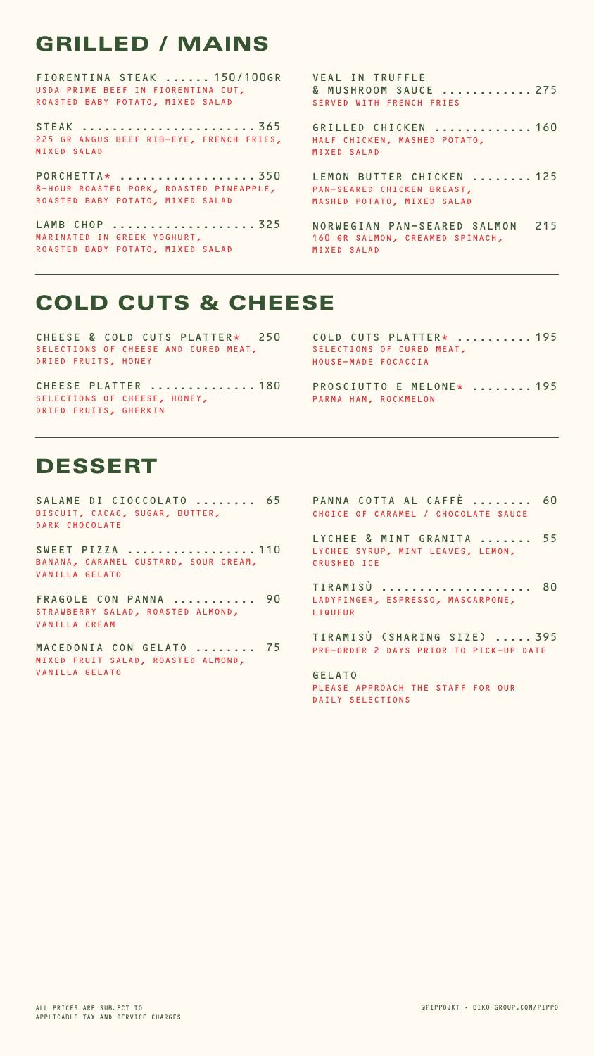#### @PIPPOJKT • BIKO-GROUP.COM/PIPPO

SALAME DI CIOCCOLATO ........ 65 BISCUIT, CACAO, SUGAR, BUTTER, DARK CHOCOLATE

FRAGOLE CON PANNA ........... 90 STRAWBERRY SALAD, ROASTED ALMOND, VANILLA CREAM

SWEET PIZZA ................. 110 BANANA, CARAMEL CUSTARD, SOUR CREAM, VANILLA GELATO

LYCHEE & MINT GRANITA ....... 55 LYCHEE SYRUP, MINT LEAVES, LEMON, CRUSHED ICE

MACEDONIA CON GELATO ........ 75 MIXED FRUIT SALAD, ROASTED ALMOND, VANILLA GELATO

PANNA COTTA AL CAFFÈ ........ 60 CHOICE OF CARAMEL / CHOCOLATE SAUCE

TIRAMISÙ .................... 80 LADYFINGER, ESPRESSO, MASCARPONE, LIQUEUR

TIRAMISÙ (SHARING SIZE) ..... 395 PRE-ORDER 2 DAYS PRIOR TO PICK-UP DATE

GELATO PLEASE APPROACH THE STAFF FOR OUR DAILY SELECTIONS

### DESSERT

CHEESE & COLD CUTS PLATTER\* 250 SELECTIONS OF CHEESE AND CURED MEAT, DRIED FRUITS, HONEY

FIORENTINA STEAK ...... 150/100GR USDA PRIME BEEF IN FIORENTINA CUT, ROASTED BABY POTATO, MIXED SALAD

> PROSCIUTTO E MELONE\* ........ 195 PARMA HAM, ROCKMELON

STEAK ....................... 365 225 GR ANGUS BEEF RIB-EYE, FRENCH FRIES, MIXED SALAD

PORCHETTA\* .................. 350 8-HOUR ROASTED PORK, ROASTED PINEAPPLE, ROASTED BABY POTATO, MIXED SALAD

LAMB CHOP ................... 325 MARINATED IN GREEK YOGHURT, ROASTED BABY POTATO, MIXED SALAD

VEAL IN TRUFFLE & MUSHROOM SAUCE ............ 275 SERVED WITH FRENCH FRIES

GRILLED CHICKEN ............. 160 HALF CHICKEN, MASHED POTATO, MIXED SALAD

LEMON BUTTER CHICKEN ........ 125 PAN-SEARED CHICKEN BREAST, MASHED POTATO, MIXED SALAD

NORWEGIAN PAN-SEARED SALMON 215 160 GR SALMON, CREAMED SPINACH, MIXED SALAD

# GRILLED / MAINS

### COLD CUTS & CHEESE

CHEESE PLATTER .............. 180 SELECTIONS OF CHEESE, HONEY, DRIED FRUITS, GHERKIN

```
COLD CUTS PLATTER* .......... 195
SELECTIONS OF CURED MEAT.
HOUSE-MADE FOCACCIA
```